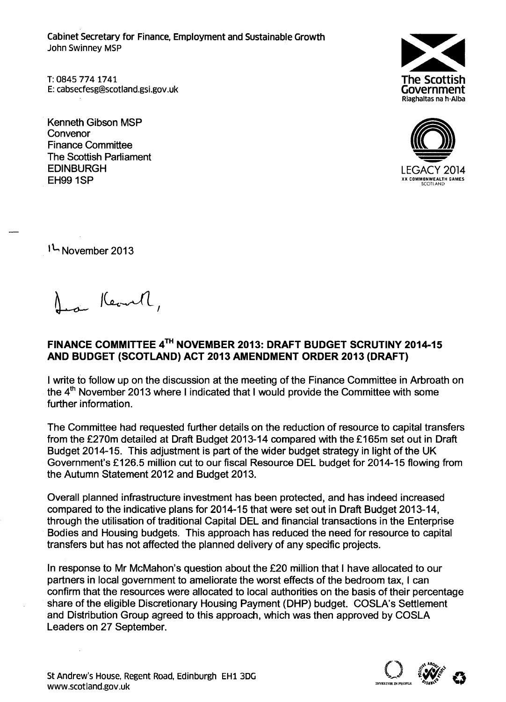Cabinet Secretary for Finance, Employment and Sustainable Growth John Swinney MSP

T: 0845 774 1741 E: cabsecfesg@scotland.gsi.gov.uk

Kenneth Gibson MSP **Convenor** Finance Committee The Scottish Parliament **EDINBURGH** EH99 1SP





1<sup>L</sup> November 2013

Jean Kearth,

## FINANCE COMMITTEE 4<sup>TH</sup> NOVEMBER 2013: DRAFT BUDGET SCRUTINY 2014-1! AND BUDGET (SCOTLAND) ACT 2013 AMENDMENT ORDER 2013 (DRAFT)

I write to follow up on the discussion at the meeting of the Finance Committee in Arbroath on the  $4<sup>th</sup>$  November 2013 where I indicated that I would provide the Committee with some further information.

The Committee had requested further details on the reduction of resource to capital transfers from the £270m detailed at Draft Budget 2013-14 compared with the £165m set out in Draft Budget 2014-15. This adjustment is part of the wider budget strategy in light of the UK Government's £126.5 million cut to our fiscal Resource DEL budget for 2014-15 flowing from the Autumn Statement 2012 and Budget 2013.

Overall planned infrastructure investment has been protected, and has indeed increased compared to the indicative plans for 2014-15 that were set out in Draft Budget 2013-14, through the utilisation of traditional Capital DEL and financial transactions in the Enterprise Bodies and Housing budgets. This approach has reduced the need for resource to capital transfers but has not affected the planned delivery of any specific projects.

In response to Mr McMahon's question about the £20 million that I have allocated to our partners in local government to ameliorate the worst effects of the bedroom tax, I can confirm that the resources were allocated to local authorities on the basis of their percentage share of the eligible Discretionary Housing Payment (DHP) budget. COSLA's Settlement and Distribution Group agreed to this approach, which was then approved by COSLA Leaders on 27 September.

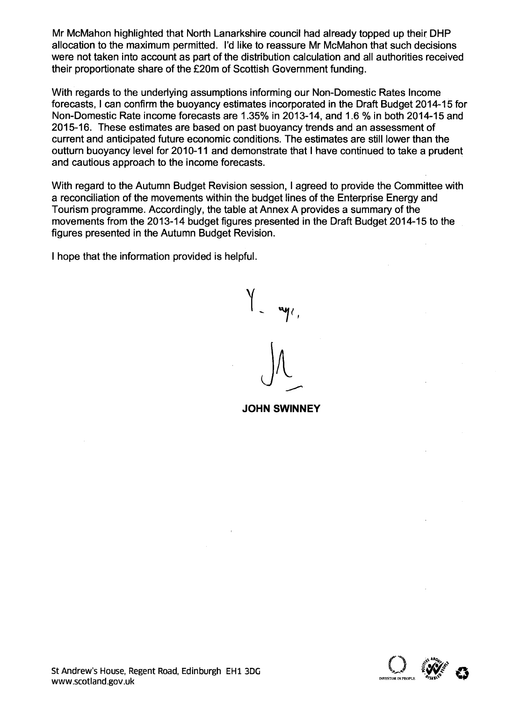Mr McMahon highlighted that North Lanarkshire council had already topped up their DHP allocation to the maximum permitted. I'd like to reassure Mr McMahon that such decisions were not taken into account as part of the distribution calculation and all authorities received their proportionate share of the £20m of Scottish Government funding.

With regards to the underlying assumptions informing our Non-Domestic Rates Income forecasts, I can confirm the buoyancy estimates incorporated in the Draft Budget 2014-15 for Non-Domestic Rate income forecasts are 1.35% in 2013-14, and 1.6 % in both 2014-15 and 2015-16. These estimates are based on past buoyancy trends and an assessment of current and anticipated future economic conditions. The estimates are still lower than the outturn buoyancy level for 2010-11 and demonstrate that I have continued to take a prudent and cautious approach to the income forecasts.

With regard to the Autumn Budget Revision session, I agreed to provide the Committee with a reconciliation of the movements within the budget lines of the Enterprise Energy and Tourism programme. Accordingly, the table at Annex A provides a summary of the movements from the 2013-14 budget figures presented in the Draft Budget 2014-15 to the figures presented in the Autumn Budget Revision.

I hope that the information provided is helpful.

**JOHN SWINNEY**